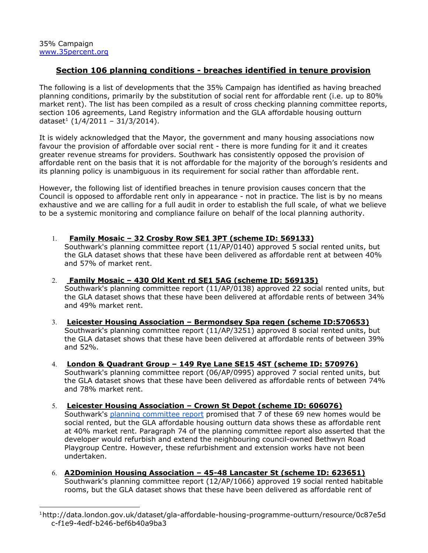# **Section 106 planning conditions breaches identified in tenure provision**

The following is a list of developments that the 35% Campaign has identified as having breached planning conditions, primarily by the substitution of social rent for affordable rent (i.e. up to 80% market rent). The list has been compiled as a result of cross checking planning committee reports, section 106 agreements, Land Registry information and the GLA [affordable](http://data.london.gov.uk/dataset/gla-affordable-housing-programme-outturn/resource/0c87e5dc-f1e9-4edf-b246-bef6b40a9ba3) housing outturn [dataset](http://data.london.gov.uk/dataset/gla-affordable-housing-programme-outturn/resource/0c87e5dc-f1e9-4edf-b246-bef6b40a9ba3)<sup>[1](http://data.london.gov.uk/dataset/gla-affordable-housing-programme-outturn/resource/0c87e5dc-f1e9-4edf-b246-bef6b40a9ba3)</sup> (1/4/2011 - 31/3/2014).

It is widely acknowledged that the Mayor, the government and many housing associations now favour the provision of affordable over social rent - there is more funding for it and it creates greater revenue streams for providers. Southwark has consistently opposed the provision of affordable rent on the basis that it is not affordable for the majority of the borough's residents and its planning policy is unambiguous in its requirement for social rather than affordable rent.

However, the following list of identified breaches in tenure provision causes concern that the Council is opposed to affordable rent only in appearance - not in practice. The list is by no means exhaustive and we are calling for a full audit in order to establish the full scale, of what we believe to be a systemic monitoring and compliance failure on behalf of the local planning authority.

1. **Family Mosaic – 32 Crosby Row SE1 3PT (scheme ID: 569133)**

Southwark's planning committee report (11/AP/0140) approved 5 social rented units, but the GLA dataset shows that these have been delivered as affordable rent at between 40% and 57% of market rent.

2. **Family Mosaic – 430 Old Kent rd SE1 5AG (scheme ID: 569135)**

Southwark's planning committee report (11/AP/0138) approved 22 social rented units, but the GLA dataset shows that these have been delivered at affordable rents of between 34% and 49% market rent.

- 3. **Leicester Housing Association – Bermondsey Spa regen (scheme ID:570653)** Southwark's planning committee report (11/AP/3251) approved 8 social rented units, but the GLA dataset shows that these have been delivered at affordable rents of between 39% and 52%.
- 4. **London & Quadrant Group – 149 Rye Lane SE15 4ST (scheme ID: 570976)** Southwark's planning committee report (06/AP/0995) approved 7 social rented units, but the GLA dataset shows that these have been delivered as affordable rents of between 74% and 78% market rent.
- 5. **Leicester Housing Association – Crown St Depot (scheme ID: 606076)** Southwark's planning [committee](http://planbuild.southwark.gov.uk/documents/?GetDocument=%7b%7b%7b!Pdhuk%2f2yE0RCmdPqLV1odQ%3d%3d!%7d%7d%7d) report promised that 7 of these 69 new homes would be social rented, but the GLA affordable housing outturn data shows these as affordable rent at 40% market rent. Paragraph 74 of the planning committee report also asserted that the developer would refurbish and extend the neighbouring council-owned Bethwyn Road Playgroup Centre. However, these refurbishment and extension works have not been undertaken.
- 6. **A2Dominion Housing Association – 4548 Lancaster St (scheme ID: 623651)** Southwark's planning committee report (12/AP/1066) approved 19 social rented habitable rooms, but the GLA dataset shows that these have been delivered as affordable rent of

<sup>&</sup>lt;sup>1</sup>http://data.london.gov.uk/dataset/gla-affordable-housing-programme-outturn/resource/0c87e5d c-f1e9-4edf-b246-bef6b40a9ba3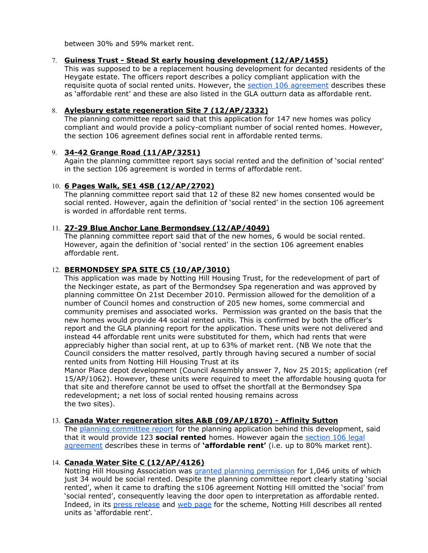between 30% and 59% market rent.

## 7. **Guiness Trust Stead St early housing development (12/AP/1455)**

This was supposed to be a replacement housing development for decanted residents of the Heygate estate. The officers report describes a policy compliant application with the requisite quota of social rented units. However, the section 106 [agreement](http://planbuild.southwark.gov.uk/documents/?GetDocument=%7b%7b%7b!M0q78liduZLspIMuKVwDhQ%3d%3d!%7d%7d%7d) describes these as 'affordable rent' and these are also listed in the GLA outturn data as affordable rent.

### 8. **Aylesbury estate regeneration Site 7 (12/AP/2332)**

The planning committee report said that this application for 147 new homes was policy compliant and would provide a policy-compliant number of social rented homes. However, the section 106 agreement defines social rent in affordable rented terms.

## 9. **3442 Grange Road (11/AP/3251)**

Again the planning committee report says social rented and the definition of 'social rented' in the section 106 agreement is worded in terms of affordable rent.

## 10. **6 Pages Walk, SE1 4SB (12/AP/2702)**

The planning committee report said that 12 of these 82 new homes consented would be social rented. However, again the definition of 'social rented' in the section 106 agreement is worded in affordable rent terms.

### 11. **2729 Blue Anchor Lane Bermondsey (12/AP/4049)**

The planning committee report said that of the new homes, 6 would be social rented. However, again the definition of 'social rented' in the section 106 agreement enables affordable rent.

## 12. **BERMONDSEY SPA SITE C5 (10/AP/3010)**

This application was made by Notting Hill Housing Trust, for the redevelopment of part of the Neckinger estate, as part of the Bermondsey Spa regeneration and was approved by planning committee On 21st December 2010. Permission allowed for the demolition of a number of Council homes and construction of 205 new homes, some commercial and community premises and associated works. Permission was granted on the basis that the new homes would provide 44 social rented units. This is confirmed by both the officer's report and the GLA planning report for the application. These units were not delivered and instead 44 affordable rent units were substituted for them, which had rents that were appreciably higher than social rent, at up to 63% of market rent. (NB We note that the Council considers the matter resolved, partly through having secured a number of social rented units from Notting Hill Housing Trust at its

Manor Place depot development (Council Assembly answer 7, Nov 25 2015; application (ref 15/AP/1062). However, these units were required to meet the affordable housing quota for that site and therefore cannot be used to offset the shortfall at the Bermondsey Spa redevelopment; a net loss of social rented housing remains across the two sites).

#### 13. **Canada Water regeneration sites A&B (09/AP/1870) Affinity Sutton**

The [p](http://planbuild.southwark.gov.uk/documents/?GetDocument=%7b%7b%7b%21vAhB%2bWXWLqfrJmcf89aX8A%3d%3d%21%7d%7d%7d)lanning [committee](http://planbuild.southwark.gov.uk/documents/?GetDocument=%7b%7b%7b%21vAhB%2bWXWLqfrJmcf89aX8A%3d%3d%21%7d%7d%7d) report for the planning application behind this development, said that it would provide 123 **social rented**homes. However again the [section](http://planbuild.southwark.gov.uk/documents/?GetDocument=%7b%7b%7b%21x3RgHHSbSY10notKcDq0rQ%3d%3d%21%7d%7d%7d) 106 legal [agreement](http://planbuild.southwark.gov.uk/documents/?GetDocument=%7b%7b%7b%21x3RgHHSbSY10notKcDq0rQ%3d%3d%21%7d%7d%7d) describes these in terms of **'affordable rent'** (i.e. up to 80% market rent).

## 14. **Canada Water Site C (12/AP/4126)**

Notting Hill Housing Association was [g](http://planbuild.southwark.gov.uk:8190/online-applications/applicationDetails.do?activeTab=summary&keyVal=_STHWR_DCAPR_9548016)ranted planning [permission](http://planbuild.southwark.gov.uk:8190/online-applications/applicationDetails.do?activeTab=summary&keyVal=_STHWR_DCAPR_9548016) for 1,046 units of which just 34 would be social rented. Despite the planning committee report clearly stating 'social rented', when it came to drafting the s106 agreement Notting Hill omitted the 'social' from 'social rented', consequently leaving the door open to interpretation as affordable rented. Indeed, in it[s](http://www.nottinghillhousing.org.uk/about-us/media-centre/news/green-light-for-canada-water-regeneration) press [release](http://www.nottinghillhousing.org.uk/about-us/media-centre/news/green-light-for-canada-water-regeneration) and [w](http://www.nottinghillhousing.org.uk/about-us/media-centre/news/architects-appointed-to-canada-water-development)eb [page](http://www.nottinghillhousing.org.uk/about-us/media-centre/news/architects-appointed-to-canada-water-development) for the scheme, Notting Hill describes all rented units as 'affordable rent'.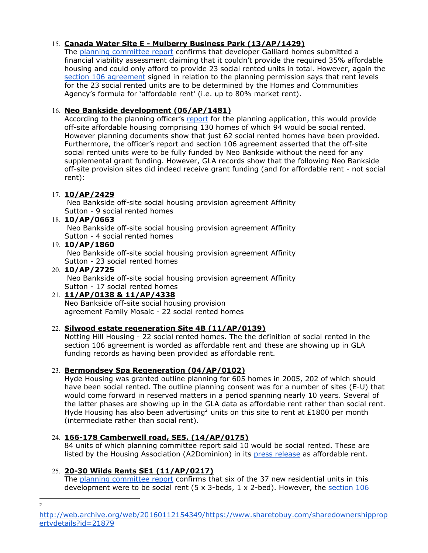# 15. **Canada Water Site E Mulberry Business Park (13/AP/1429)**

The [p](http://planbuild.southwark.gov.uk/documents/?GetDocument=%7b%7b%7b%21ARJgdCuIkNf%2fUsGOgDV8tQ%3d%3d%21%7d%7d%7d)lanning [committee](http://planbuild.southwark.gov.uk/documents/?GetDocument=%7b%7b%7b%21ARJgdCuIkNf%2fUsGOgDV8tQ%3d%3d%21%7d%7d%7d) report confirms that developer Galliard homes submitted a financial viability assessment claiming that it couldn't provide the required 35% affordable housing and could only afford to provide 23 social rented units in total. However, again th[e](http://planbuild.southwark.gov.uk/documents/?GetDocument=%7b%7b%7b%21ZTxO%2f6aYEsERFrnG4y3k3A%3d%3d%21%7d%7d%7d) section 106 [agreement](http://planbuild.southwark.gov.uk/documents/?GetDocument=%7b%7b%7b%21ZTxO%2f6aYEsERFrnG4y3k3A%3d%3d%21%7d%7d%7d) signed in relation to the planning permission says that rent levels for the 23 social rented units are to be determined by the Homes and Communities Agency's formula for 'affordable rent' (i.e. up to 80% market rent).

# 16. **Neo Bankside development (06/AP/1481)**

According to the planning officer's [report](http://moderngov.southwark.gov.uk/Data/Planning%20Committee/20061114/Agenda/Item%2064%20-%20BanksideIndustrial%20Estate,%20118-122%20Southwark%20Street,%2044%20Holland%20Street&%2047%20Hopton%20Street,%20London,%20SE1%200SW.pdf) for the planning application, this would provide off-site affordable housing comprising 130 homes of which 94 would be social rented. However planning documents show that just 62 social rented homes have been provided. Furthermore, the officer's report and section 106 agreement asserted that the off-site social rented units were to be fully funded by Neo Bankside without the need for any supplemental grant funding. However, GLA records show that the following Neo Bankside off-site provision sites did indeed receive grant funding (and for affordable rent - not social rent):

# 17. **10/AP/2429**

Neo Bankside off-site social housing provision agreement Affinity Sutton - 9 social rented homes

# 18. **10/AP/0663**

Neo Bankside off-site social housing provision agreement Affinity Sutton - 4 social rented homes

# 19. **10/AP/1860**

Neo Bankside off-site social housing provision agreement Affinity Sutton - 23 social rented homes

# 20. **10/AP/2725**

Neo Bankside off-site social housing provision agreement Affinity Sutton - 17 social rented homes

# 21. **11/AP/0138 & 11/AP/4338**

Neo Bankside off-site social housing provision agreement Family Mosaic - 22 social rented homes

# 22. **Silwood estate regeneration Site 4B (11/AP/0139)**

Notting Hill Housing 22 social rented homes. The the definition of social rented in the section 106 agreement is worded as affordable rent and these are showing up in GLA funding records as having been provided as affordable rent.

# 23. **Bermondsey Spa Regeneration (04/AP/0102)**

Hyde Housing was granted outline planning for 605 homes in 2005, 202 of which should have been social rented. The outline planning consent was for a number of sites (E-U) that would come forward in reserved matters in a period spanning nearly 10 years. Several of the latter phases are showing up in the GLA data as affordable rent rather than social rent. Hyde Housing has also been advertising<sup>2</sup> units on this site to rent at £1800 per month (intermediate rather than social rent).

# 24. **166178 Camberwell road, SE5. (14/AP/0175)**

84 units of which planning committee report said 10 would be social rented. These are listed by the Housing Association (A2Dominion) in its press [release](http://www.a2dominion.co.uk/press-releases?pressid=360) as affordable rent.

# 25. **2030 Wilds Rents SE1 (11/AP/0217)**

The planning [committee](http://planbuild.southwark.gov.uk/documents/?GetDocument=%7b%7b%7b!sMV%2bUJBoAL91ysCbGKu2Ww%3d%3d!%7d%7d%7d) report confirms that six of the 37 new residential units in this development were to be social rent  $(5 \times 3$ -beds, 1 x 2-bed). However, the [section](http://planbuild.southwark.gov.uk/documents/?GetDocument=%7b%7b%7b!T5TWXyDwzKDFnvNBdy1vUg%3d%3d!%7d%7d%7d) 106

 $\overline{2}$ 

[http://web.archive.org/web/20160112154349/https://www.sharetobuy.com/sharedownershipprop](http://web.archive.org/web/20160112154349/https://www.sharetobuy.com/sharedownershippropertydetails?id=21879) [ertydetails?id=21879](http://web.archive.org/web/20160112154349/https://www.sharetobuy.com/sharedownershippropertydetails?id=21879)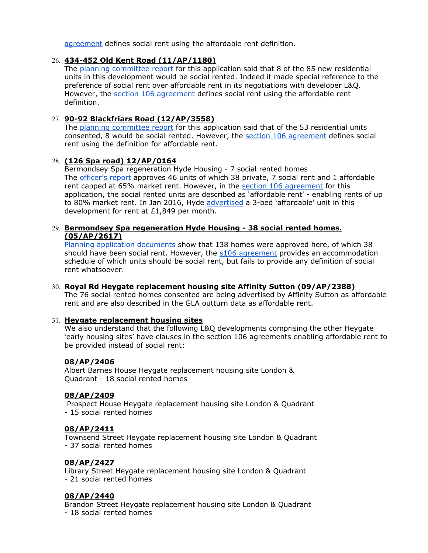[agreement](http://planbuild.southwark.gov.uk/documents/?GetDocument=%7b%7b%7b!T5TWXyDwzKDFnvNBdy1vUg%3d%3d!%7d%7d%7d) defines social rent using the affordable rent definition.

## 26. **434452 Old Kent Road (11/AP/1180)**

The planning [committee](http://planbuild.southwark.gov.uk/documents/?GetDocument=%7b%7b%7b!BRQVeBRTMJkgmYvoqJ8VcA%3d%3d!%7d%7d%7d) report for this application said that 8 of the 85 new residential units in this development would be social rented. Indeed it made special reference to the preference of social rent over affordable rent in its negotiations with developer L&Q. However, the section 106 [agreement](http://planbuild.southwark.gov.uk/documents/?GetDocument=%7b%7b%7b!xXQwi2NuBLsHKFe81o0l%2bA%3d%3d!%7d%7d%7d) defines social rent using the affordable rent definition.

# 27. **9092 Blackfriars Road (12/AP/3558)**

The planning [committee](http://planbuild.southwark.gov.uk/documents/?GetDocument=%7b%7b%7b!7uFaHTBss3MaI1%2bVZDr5NA%3d%3d!%7d%7d%7d) report for this application said that of the 53 residential units consented, 8 would be social rented. However, the section 106 [agreement](http://planbuild.southwark.gov.uk/documents/?GetDocument=%7b%7b%7b!PYJaYNZ0rDkuMfZnThb1aw%3d%3d!%7d%7d%7d) defines social rent using the definition for affordable rent.

## 28. **(126 Spa road) 12/AP/0164**

Bermondsey Spa regeneration Hyde Housing - 7 social rented homes The [officer's](http://moderngov.southwark.gov.uk/documents/s27524/Report.pdf) report approves 46 units of which 38 private, 7 social rent and 1 affordable rent capped at 65% market rent. However, in the [s](http://planbuild.southwark.gov.uk/documents/?GetDocument=%7b%7b%7b%21EK7yiximvJWNpj1%2bOiKq%2bg%3d%3d%21%7d%7d%7d)ection 106 [agreement](http://planbuild.southwark.gov.uk/documents/?GetDocument=%7b%7b%7b%21EK7yiximvJWNpj1%2bOiKq%2bg%3d%3d%21%7d%7d%7d) for this application, the social rented units are described as 'affordable rent' - enabling rents of up to 80% mark[e](http://web.archive.org/web/20160112154349/https://www.sharetobuy.com/sharedownershippropertydetails?id=21879)t rent. In Jan 2016, Hyde [advertised](http://web.archive.org/web/20160112154349/https://www.sharetobuy.com/sharedownershippropertydetails?id=21879) a 3-bed 'affordable' unit in this development for rent at £1,849 per month.

## 29. **Bermondsey Spa regeneration Hyde Housing 38 social rented homes. (05/AP/2617)**

Planning application [documents](http://planbuild.southwark.gov.uk:8190/online-applications/applicationDetails.do?activeTab=externalDocuments&keyVal=_STHWR_DCAPR_9520013) show that 138 homes were approved here, of which 38 should have been social rent. However, the s106 [agreement](http://planbuild.southwark.gov.uk/documents/?GetDocument=%7b%7b%7b%21ov1A%2bEO76tHjONrLVbtEug%3d%3d%21%7d%7d%7d) provides an accommodation schedule of which units should be social rent, but fails to provide any definition of social rent whatsoever.

## 30. **Royal Rd Heygate replacement housing site Affinity Sutton (09/AP/2388)**

The 76 social rented homes consented are being advertised by Affinity Sutton as affordable rent and are also described in the GLA outturn data as affordable rent.

## 31. **Heygate replacement housing sites**

We also understand that the following L&Q developments comprising the other Heygate 'early housing sites' have clauses in the section 106 agreements enabling affordable rent to be provided instead of social rent:

## **08/AP/2406**

Albert Barnes House Heygate replacement housing site London & Quadrant - 18 social rented homes

# **08/AP/2409**

Prospect House Heygate replacement housing site London & Quadrant 15 social rented homes

## **08/AP/2411**

Townsend Street Heygate replacement housing site London & Quadrant 37 social rented homes

# **08/AP/2427**

Library Street Heygate replacement housing site London & Quadrant 21 social rented homes

## **08/AP/2440**

Brandon Street Heygate replacement housing site London & Quadrant

18 social rented homes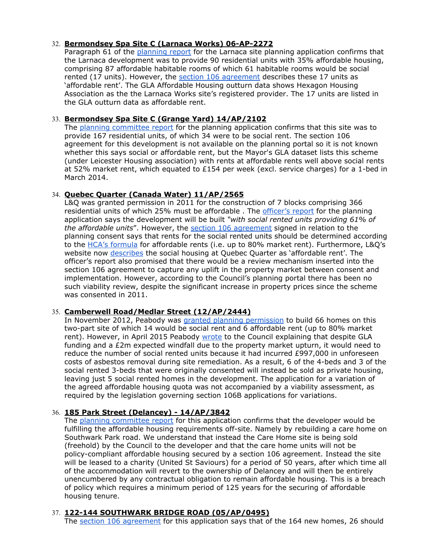## 32. **Bermondsey Spa Site C (Larnaca Works) 06AP2272**

Paragraph 61 of the [planning](http://moderngov.southwark.gov.uk/Data/Planning%20Committee/20070327/Agenda/Item%2064-Report%20LarnacaWorks,%20Grange%20Walk,%20London,%20SE1%203EW.pdf) report for the Larnaca site planning application confirms that the Larnaca development was to provide 90 residential units with 35% affordable housing, comprising 87 affordable habitable rooms of which 61 habitable rooms would be social rented (17 units). However, the [s](http://planbuild.southwark.gov.uk/documents/?GetDocument=%7b%7b%7b%21NCI6Tm8UG4Wyxf%2bwUloQPA%3d%3d%21%7d%7d%7d)ection 106 [agreement](http://planbuild.southwark.gov.uk/documents/?GetDocument=%7b%7b%7b%21NCI6Tm8UG4Wyxf%2bwUloQPA%3d%3d%21%7d%7d%7d) describes these 17 units as 'affordable rent'. The GLA Affordable Housing outturn data shows Hexagon Housing Association as the the Larnaca Works site's registered provider. The 17 units are listed in the GLA outturn data as affordable rent.

## 33. **Bermondsey Spa Site C (Grange Yard) 14/AP/2102**

The [p](http://planbuild.southwark.gov.uk/documents/?GetDocument=%7b%7b%7b%21NSTsGbiMYYs7hVWdLHOlOA%3d%3d%21%7d%7d%7d)lanning [committee](http://planbuild.southwark.gov.uk/documents/?GetDocument=%7b%7b%7b%21NSTsGbiMYYs7hVWdLHOlOA%3d%3d%21%7d%7d%7d) report for the planning application confirms that this site was to provide 167 residential units, of which 34 were to be social rent. The section 106 agreement for this development is not available on the planning portal so it is not known whether this says social or affordable rent, but the Mayor's GLA dataset lists this scheme (under Leicester Housing association) with rents at affordable rents well above social rents at 52% market rent, which equated to £154 per week (excl. service charges) for a 1-bed in March 2014.

## 34. **Quebec Quarter (Canada Water) 11/AP/2565**

L&Q was granted permission in 2011 for the construction of 7 blocks comprising 366 residential units of which 25% must be affordable. The [officer's](http://moderngov.southwarksites.com/documents/s26630/Report.pdf) report for the planning application says the development will be built *"with social rented units providing 61% of the affordable units*". However, the section 106 [agreement](http://planbuild.southwark.gov.uk/documents/?GetDocument=%7b%7b%7b!Al%2feDVhkLi4iEdj9sDbe9Q%3d%3d!%7d%7d%7d) signed in relation to the planning consent says that rents for the social rented units should be determined according to the [H](https://cfg.homesandcommunities.co.uk/ourwork/affordable-rent)CA's [formula](https://cfg.homesandcommunities.co.uk/ourwork/affordable-rent) for affordable rents (i.e. up to 80% market rent). Furthermore, L&Q's website now [describes](http://www.quebecquarter.co.uk/siteplan) the social housing at Quebec Quarter as 'affordable rent'. The officer's report also promised that there would be a review mechanism inserted into the section 106 agreement to capture any uplift in the property market between consent and implementation. However, according to the Council's planning portal there has been no such viability review, despite the significant increase in property prices since the scheme was consented in 2011.

## 35. **Camberwell Road/Medlar Street (12/AP/2444)**

In November 2012, Peabody wa[s](http://planbuild.southwark.gov.uk/documents/?casereference=12/AP/2444&system=DC) granted planning [permission](http://planbuild.southwark.gov.uk/documents/?casereference=12/AP/2444&system=DC) to build 66 homes on this two-part site of which 14 would be social rent and 6 affordable rent (up to 80% market rent). However, in April 2015 Peabody [wrote](http://planbuild.southwark.gov.uk/documents/?GetDocument=%7b%7b%7b%21Zzn2DsRQ760hOnwRlwN7xQ%3d%3d%21%7d%7d%7d) to the Council explaining that despite GLA funding and a £2m expected windfall due to the property market upturn, it would need to reduce the number of social rented units because it had incurred £997,000 in unforeseen costs of asbestos removal during site remediation. As a result, 6 of the 4-beds and 3 of the social rented 3-beds that were originally consented will instead be sold as private housing, leaving just 5 social rented homes in the development. The application for a variation of the agreed affordable housing quota was not accompanied by a viability assessment, as required by the legislation governing section 106B applications for variations.

# 36. **185 Park Street (Delancey) 14/AP/3842**

The planning [committee](http://moderngov.southwark.gov.uk/documents/s55360/Report%20185%20Park%20Street%20London%20SE1%209BL.pdf) report for this application confirms that the developer would be fulfilling the affordable housing requirements off-site. Namely by rebuilding a care home on Southwark Park road. We understand that instead the Care Home site is being sold (freehold) by the Council to the developer and that the care home units will not be policy-compliant affordable housing secured by a section 106 agreement. Instead the site will be leased to a charity (United St Saviours) for a period of 50 years, after which time all of the accommodation will revert to the ownership of Delancey and will then be entirely unencumbered by any contractual obligation to remain affordable housing. This is a breach of policy which requires a minimum period of 125 years for the securing of affordable housing tenure.

# 37. **122144 SOUTHWARK BRIDGE ROAD (05/AP/0495)**

The section 106 [agreement](http://planbuild.southwark.gov.uk/documents/?GetDocument=%7b%7b%7b!J2muspN4tn%2bLt92dTBZ%2fng%3d%3d!%7d%7d%7d) for this application says that of the 164 new homes, 26 should